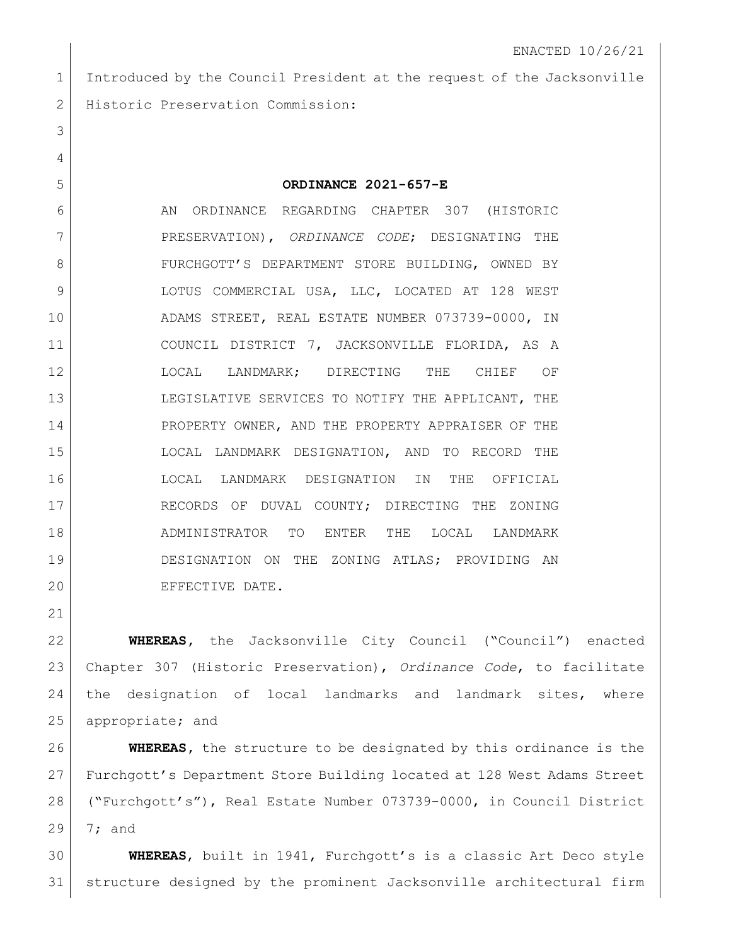Introduced by the Council President at the request of the Jacksonville 2 | Historic Preservation Commission:

## **ORDINANCE 2021-657-E**

6 AN ORDINANCE REGARDING CHAPTER 307 (HISTORIC PRESERVATION), *ORDINANCE CODE*; DESIGNATING THE 8 | FURCHGOTT'S DEPARTMENT STORE BUILDING, OWNED BY 9 LOTUS COMMERCIAL USA, LLC, LOCATED AT 128 WEST ADAMS STREET, REAL ESTATE NUMBER 073739-0000, IN COUNCIL DISTRICT 7, JACKSONVILLE FLORIDA, AS A LOCAL LANDMARK; DIRECTING THE CHIEF OF LEGISLATIVE SERVICES TO NOTIFY THE APPLICANT, THE 14 PROPERTY OWNER, AND THE PROPERTY APPRAISER OF THE LOCAL LANDMARK DESIGNATION, AND TO RECORD THE LOCAL LANDMARK DESIGNATION IN THE OFFICIAL 17 RECORDS OF DUVAL COUNTY; DIRECTING THE ZONING ADMINISTRATOR TO ENTER THE LOCAL LANDMARK DESIGNATION ON THE ZONING ATLAS; PROVIDING AN 20 EFFECTIVE DATE.

 **WHEREAS,** the Jacksonville City Council ("Council") enacted Chapter 307 (Historic Preservation), *Ordinance Code*, to facilitate the designation of local landmarks and landmark sites, where 25 appropriate; and

 **WHEREAS,** the structure to be designated by this ordinance is the Furchgott's Department Store Building located at 128 West Adams Street ("Furchgott's"), Real Estate Number 073739-0000, in Council District 7; and

 **WHEREAS**, built in 1941, Furchgott's is a classic Art Deco style structure designed by the prominent Jacksonville architectural firm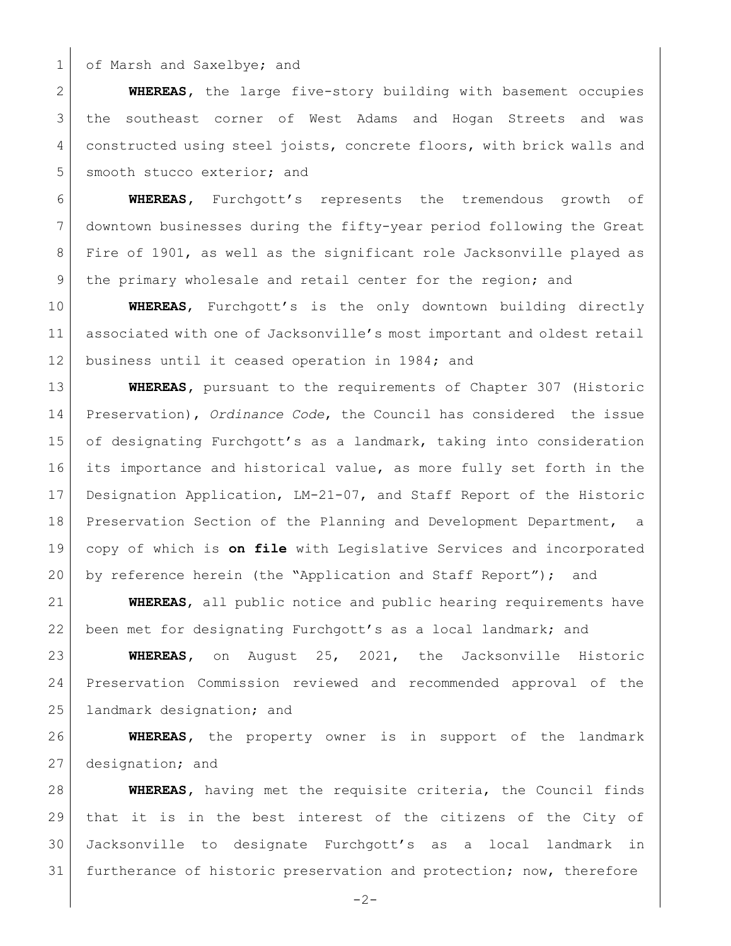1 of Marsh and Saxelbye; and

 **WHEREAS,** the large five-story building with basement occupies 3 | the southeast corner of West Adams and Hogan Streets and was constructed using steel joists, concrete floors, with brick walls and 5 smooth stucco exterior; and

 **WHEREAS,** Furchgott's represents the tremendous growth of downtown businesses during the fifty-year period following the Great Fire of 1901, as well as the significant role Jacksonville played as 9 the primary wholesale and retail center for the region; and

 **WHEREAS**, Furchgott's is the only downtown building directly associated with one of Jacksonville's most important and oldest retail 12 business until it ceased operation in 1984; and

 **WHEREAS,** pursuant to the requirements of Chapter 307 (Historic Preservation), *Ordinance Code*, the Council has considered the issue 15 of designating Furchgott's as a landmark, taking into consideration its importance and historical value, as more fully set forth in the Designation Application, LM-21-07, and Staff Report of the Historic 18 Preservation Section of the Planning and Development Department, a copy of which is **on file** with Legislative Services and incorporated by reference herein (the "Application and Staff Report"); and

 **WHEREAS**, all public notice and public hearing requirements have been met for designating Furchgott's as a local landmark; and

 **WHEREAS,** on August 25, 2021, the Jacksonville Historic Preservation Commission reviewed and recommended approval of the landmark designation; and

 **WHEREAS,** the property owner is in support of the landmark 27 designation; and

 **WHEREAS,** having met the requisite criteria, the Council finds that it is in the best interest of the citizens of the City of Jacksonville to designate Furchgott's as a local landmark in furtherance of historic preservation and protection; now, therefore

 $-2-$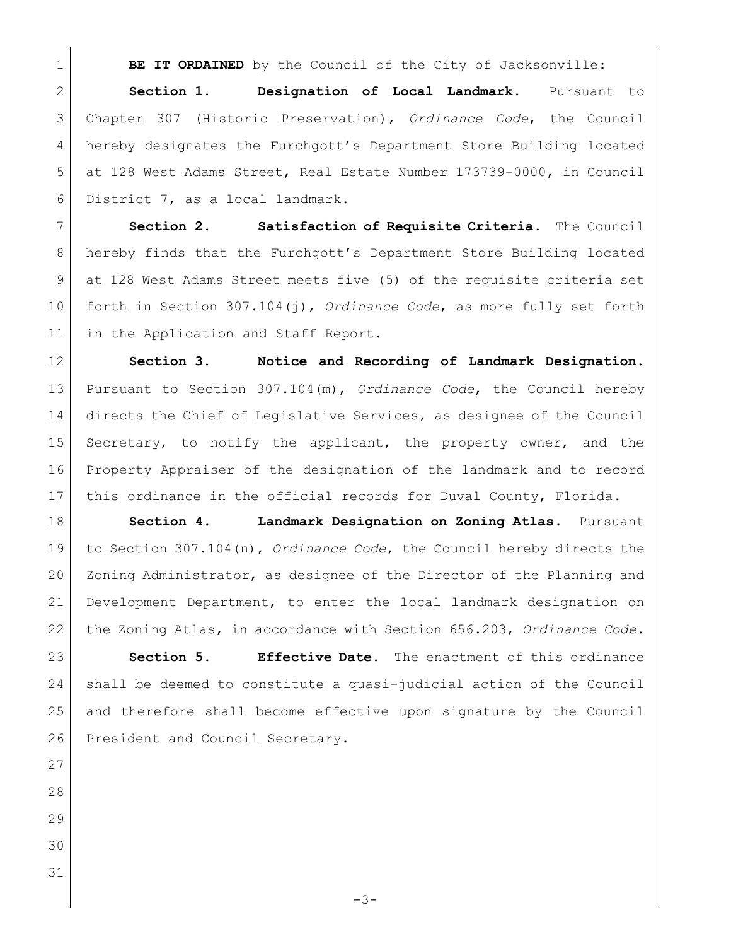**BE IT ORDAINED** by the Council of the City of Jacksonville:

 **Section 1. Designation of Local Landmark**. Pursuant to Chapter 307 (Historic Preservation), *Ordinance Code*, the Council hereby designates the Furchgott's Department Store Building located at 128 West Adams Street, Real Estate Number 173739-0000, in Council 6 District 7, as a local landmark.

 **Section 2. Satisfaction of Requisite Criteria**. The Council hereby finds that the Furchgott's Department Store Building located at 128 West Adams Street meets five (5) of the requisite criteria set forth in Section 307.104(j), *Ordinance Code*, as more fully set forth 11 in the Application and Staff Report.

 **Section 3. Notice and Recording of Landmark Designation**. Pursuant to Section 307.104(m), *Ordinance Code*, the Council hereby directs the Chief of Legislative Services, as designee of the Council Secretary, to notify the applicant, the property owner, and the Property Appraiser of the designation of the landmark and to record 17 | this ordinance in the official records for Duval County, Florida.

 **Section 4. Landmark Designation on Zoning Atlas**. Pursuant to Section 307.104(n), *Ordinance Code*, the Council hereby directs the Zoning Administrator, as designee of the Director of the Planning and Development Department, to enter the local landmark designation on the Zoning Atlas, in accordance with Section 656.203, *Ordinance Code*.

 **Section 5. Effective Date.** The enactment of this ordinance shall be deemed to constitute a quasi-judicial action of the Council and therefore shall become effective upon signature by the Council 26 President and Council Secretary.

- 
- 
- 
- 
- 
-